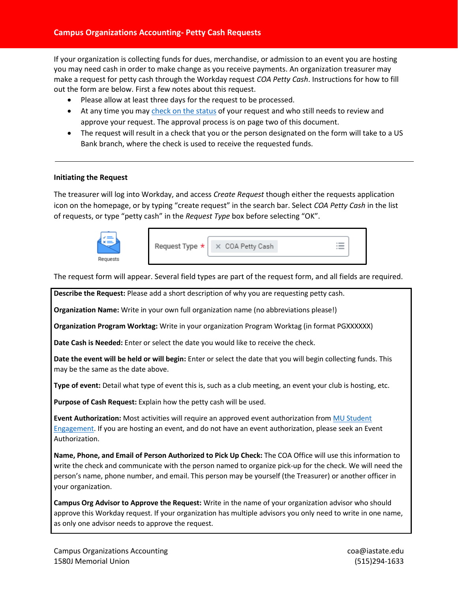If your organization is collecting funds for dues, merchandise, or admission to an event you are hosting you may need cash in order to make change as you receive payments. An organization treasurer may make a request for petty cash through the Workday request *COA Petty Cash*. Instructions for how to fill out the form are below. First a few notes about this request.

- Please allow at least three days for the request to be processed.
- At any time you ma[y check on the status](http://www.controller.iastate.edu/campusorg/using-myrequests.pdf) of your request and who still needs to review and approve your request. The approval process is on page two of this document.
- The request will result in a check that you or the person designated on the form will take to a US Bank branch, where the check is used to receive the requested funds.

## **Initiating the Request**

The treasurer will log into Workday, and access *Create Request* though either the requests application icon on the homepage, or by typing "create request" in the search bar. Select *COA Petty Cash* in the list of requests, or type "petty cash" in the *Request Type* box before selecting "OK".



The request form will appear. Several field types are part of the request form, and all fields are required.

**Describe the Request:** Please add a short description of why you are requesting petty cash.

**Organization Name:** Write in your own full organization name (no abbreviations please!)

**Organization Program Worktag:** Write in your organization Program Worktag (in format PGXXXXXX)

**Date Cash is Needed:** Enter or select the date you would like to receive the check.

**Date the event will be held or will begin:** Enter or select the date that you will begin collecting funds. This may be the same as the date above.

**Type of event:** Detail what type of event this is, such as a club meeting, an event your club is hosting, etc.

**Purpose of Cash Request:** Explain how the petty cash will be used.

**Event Authorization:** Most activities will require an approved event authorization from [MU Student](https://studentengagement.iastate.edu/student-organizations/resources-for-organizations/event-authorization-and-planning/)  [Engagement.](https://studentengagement.iastate.edu/student-organizations/resources-for-organizations/event-authorization-and-planning/) If you are hosting an event, and do not have an event authorization, please seek an Event Authorization.

**Name, Phone, and Email of Person Authorized to Pick Up Check:** The COA Office will use this information to write the check and communicate with the person named to organize pick-up for the check. We will need the person's name, phone number, and email. This person may be yourself (the Treasurer) or another officer in your organization.

**Campus Org Advisor to Approve the Request:** Write in the name of your organization advisor who should approve this Workday request. If your organization has multiple advisors you only need to write in one name, as only one advisor needs to approve the request.